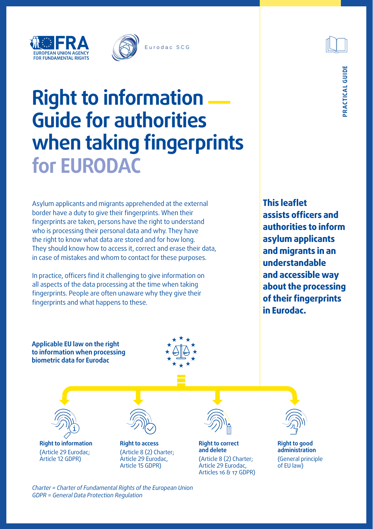



# **Right to information ― Guide for authorities when taking fingerprints for EURODAC**

Asylum applicants and migrants apprehended at the external border have a duty to give their fingerprints. When their fingerprints are taken, persons have the right to understand who is processing their personal data and why. They have the right to know what data are stored and for how long. They should know how to access it, correct and erase their data, in case of mistakes and whom to contact for these purposes.

In practice, officers find it challenging to give information on all aspects of the data processing at the time when taking fingerprints. People are often unaware why they give their fingerprints and what happens to these.

**This leaflet assists officers and authorities to inform asylum applicants and migrants in an understandable and accessible way about the processing of their fingerprints in Eurodac.** 

**Applicable EU law on the right to information when processing biometric data for Eurodac**





**Right to information** (Article 29 Eurodac; Article 12 GDPR)



*Charter = Charter of Fundamental Rights of the European Union*

*GDPR = General Data Protection Regulation*

**Right to access** (Article 8 (2) Charter; Article 29 Eurodac, Article 15 GDPR)



**Right to correct and delete** (Article 8 (2) Charter; Article 29 Eurodac, Articles 16 & 17 GDPR)



**Right to good administration** (General principle of EU law)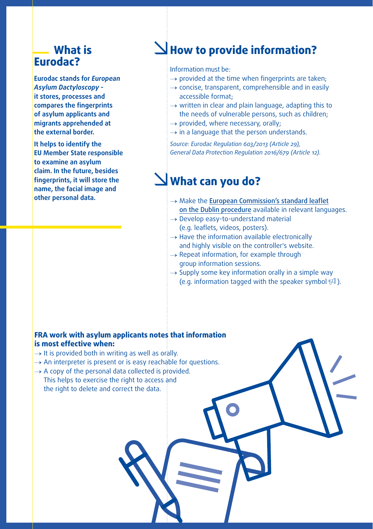## **What is Eurodac?**

**Eurodac stands for** *European Asylum Dactyloscopy* **it stores, processes and compares the fingerprints of asylum applicants and migrants apprehended at the external border.** 

**It helps to identify the EU Member State responsible to examine an asylum claim. In the future, besides fingerprints, it will store the name, the facial image and other personal data.**

# **How to provide information?**

Information must be:

- $\rightarrow$  provided at the time when fingerprints are taken;
- $\rightarrow$  concise, transparent, comprehensible and in easily accessible format;
- $\rightarrow$  written in clear and plain language, adapting this to the needs of vulnerable persons, such as children;
- $\rightarrow$  provided, where necessary, orally;
- $\rightarrow$  in a language that the person understands.

*Source: Eurodac Regulation 603/2013 (Article 29), General Data Protection Regulation 2016/679 (Article 12).*

# **What can you do?**

- $\rightarrow$  Make the [European Commission's standard leaflet](https://ec.europa.eu/home-affairs/system/files/2016-12/guidelines_on_the_implementation_of_eu_rules_on_the_obligation_to_take_fingerprints_en.pdf) [on the Dublin procedure](https://ec.europa.eu/home-affairs/system/files/2016-12/guidelines_on_the_implementation_of_eu_rules_on_the_obligation_to_take_fingerprints_en.pdf) available in relevant languages.
- $\rightarrow$  Develop easy-to-understand material (e.g. leaflets, videos, posters).
- $\rightarrow$  Have the information available electronically and highly visible on the controller's website.
- $\rightarrow$  Repeat information, for example through group information sessions.
- $\rightarrow$  Supply some key information orally in a simple way (e.g. information tagged with the speaker symbol  $\mathbb{F}$ ).

#### **FRA work with asylum applicants notes that information is most effective when:**

- $\rightarrow$  It is provided both in writing as well as orally.
- $\rightarrow$  An interpreter is present or is easy reachable for questions.
- $\rightarrow$  A copy of the personal data collected is provided. This helps to exercise the right to access and the right to delete and correct the data.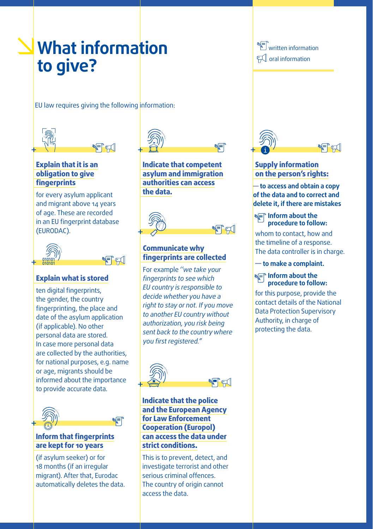# **What information to give?**

EU law requires giving the following information:



#### **Explain that it is an obligation to give fingerprints**

for every asylum applicant and migrant above 14 years of age. These are recorded in an EU fingerprint database (EURODAC).



#### **Explain what is stored**

informed about the importance to provide accurate data. ten digital fingerprints, the gender, the country fingerprinting, the place and date of the asylum application (if applicable). No other personal data are stored. In case more personal data are collected by the authorities, for national purposes, e.g. name or age, migrants should be



#### **Inform that fingerprints are kept for 10 years**

(if asylum seeker) or for 18 months (if an irregular migrant). After that, Eurodac automatically deletes the data.



**Indicate that competent asylum and immigration authorities can access the data.**



#### **Communicate why fingerprints are collected**

For example *''we take your fingerprints to see which EU country is responsible to decide whether you have a right to stay or not. If you move to another EU country without authorization, you risk being sent back to the country where you first registered.''*



#### **Indicate that the police and the European Agency for Law Enforcement Cooperation (Europol) can access the data under strict conditions.**

This is to prevent, detect, and investigate terrorist and other serious criminal offences. The country of origin cannot access the data.

**WEP** written information  $\mathbb H$  oral information



#### **Supply information on the person's rights:**

**― to access and obtain a copy of the data and to correct and delete it, if there are mistakes**

#### **Inform about the procedure to follow:**

whom to contact, how and the timeline of a response. The data controller is in charge.

**― to make a complaint.** 

#### **Inform about the procedure to follow:**

for this purpose, provide the contact details of the National Data Protection Supervisory Authority, in charge of protecting the data.